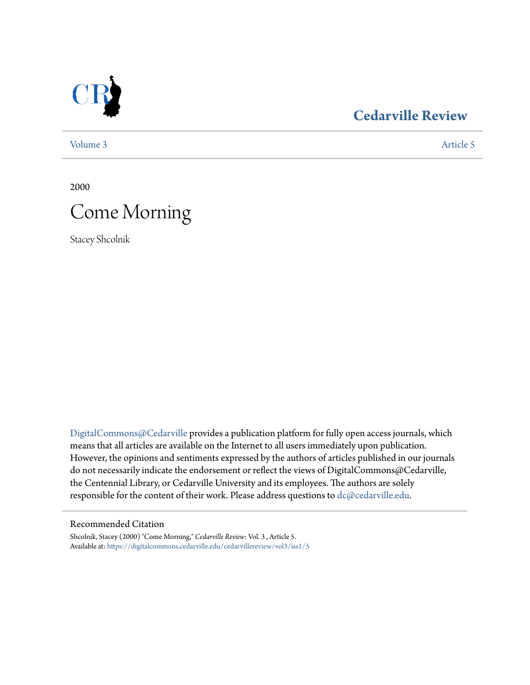

### **[Cedarville Review](https://digitalcommons.cedarville.edu/cedarvillereview?utm_source=digitalcommons.cedarville.edu%2Fcedarvillereview%2Fvol3%2Fiss1%2F5&utm_medium=PDF&utm_campaign=PDFCoverPages)**

[Volume 3](https://digitalcommons.cedarville.edu/cedarvillereview/vol3?utm_source=digitalcommons.cedarville.edu%2Fcedarvillereview%2Fvol3%2Fiss1%2F5&utm_medium=PDF&utm_campaign=PDFCoverPages) [Article 5](https://digitalcommons.cedarville.edu/cedarvillereview/vol3/iss1/5?utm_source=digitalcommons.cedarville.edu%2Fcedarvillereview%2Fvol3%2Fiss1%2F5&utm_medium=PDF&utm_campaign=PDFCoverPages)

2000

# Come Morning

Stacey Shcolnik

[DigitalCommons@Cedarville](http://digitalcommons.cedarville.edu) provides a publication platform for fully open access journals, which means that all articles are available on the Internet to all users immediately upon publication. However, the opinions and sentiments expressed by the authors of articles published in our journals do not necessarily indicate the endorsement or reflect the views of DigitalCommons@Cedarville, the Centennial Library, or Cedarville University and its employees. The authors are solely responsible for the content of their work. Please address questions to [dc@cedarville.edu](mailto:dc@cedarville.edu).

#### Recommended Citation

Shcolnik, Stacey (2000) "Come Morning," *Cedarville Review*: Vol. 3 , Article 5. Available at: [https://digitalcommons.cedarville.edu/cedarvillereview/vol3/iss1/5](https://digitalcommons.cedarville.edu/cedarvillereview/vol3/iss1/5?utm_source=digitalcommons.cedarville.edu%2Fcedarvillereview%2Fvol3%2Fiss1%2F5&utm_medium=PDF&utm_campaign=PDFCoverPages)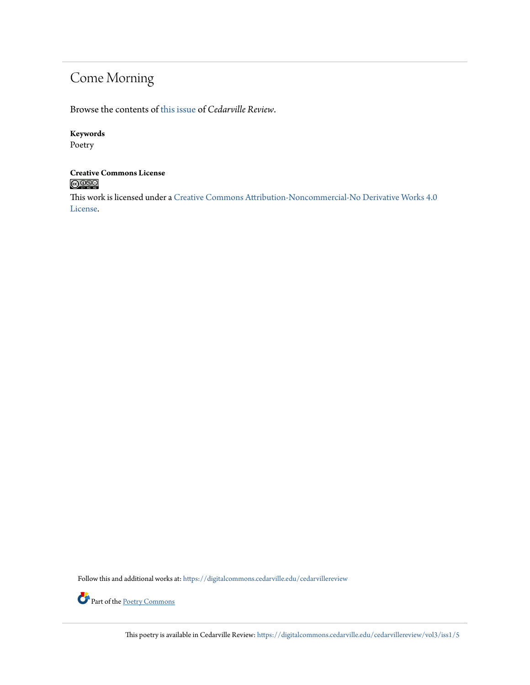## Come Morning

Browse the contents of [this issue](https://digitalcommons.cedarville.edu/cedarvillereview/vol3/iss1) of *Cedarville Review*.

#### **Keywords**

Poetry

### **Creative Commons License**  $\bigcirc$  000

This work is licensed under a [Creative Commons Attribution-Noncommercial-No Derivative Works 4.0](http://creativecommons.org/licenses/by-nc-nd/4.0/) [License.](http://creativecommons.org/licenses/by-nc-nd/4.0/)

Follow this and additional works at: [https://digitalcommons.cedarville.edu/cedarvillereview](https://digitalcommons.cedarville.edu/cedarvillereview?utm_source=digitalcommons.cedarville.edu%2Fcedarvillereview%2Fvol3%2Fiss1%2F5&utm_medium=PDF&utm_campaign=PDFCoverPages)



Part of the <u>[Poetry Commons](http://network.bepress.com/hgg/discipline/1153?utm_source=digitalcommons.cedarville.edu%2Fcedarvillereview%2Fvol3%2Fiss1%2F5&utm_medium=PDF&utm_campaign=PDFCoverPages)</u>

This poetry is available in Cedarville Review: [https://digitalcommons.cedarville.edu/cedarvillereview/vol3/iss1/5](https://digitalcommons.cedarville.edu/cedarvillereview/vol3/iss1/5?utm_source=digitalcommons.cedarville.edu%2Fcedarvillereview%2Fvol3%2Fiss1%2F5&utm_medium=PDF&utm_campaign=PDFCoverPages)